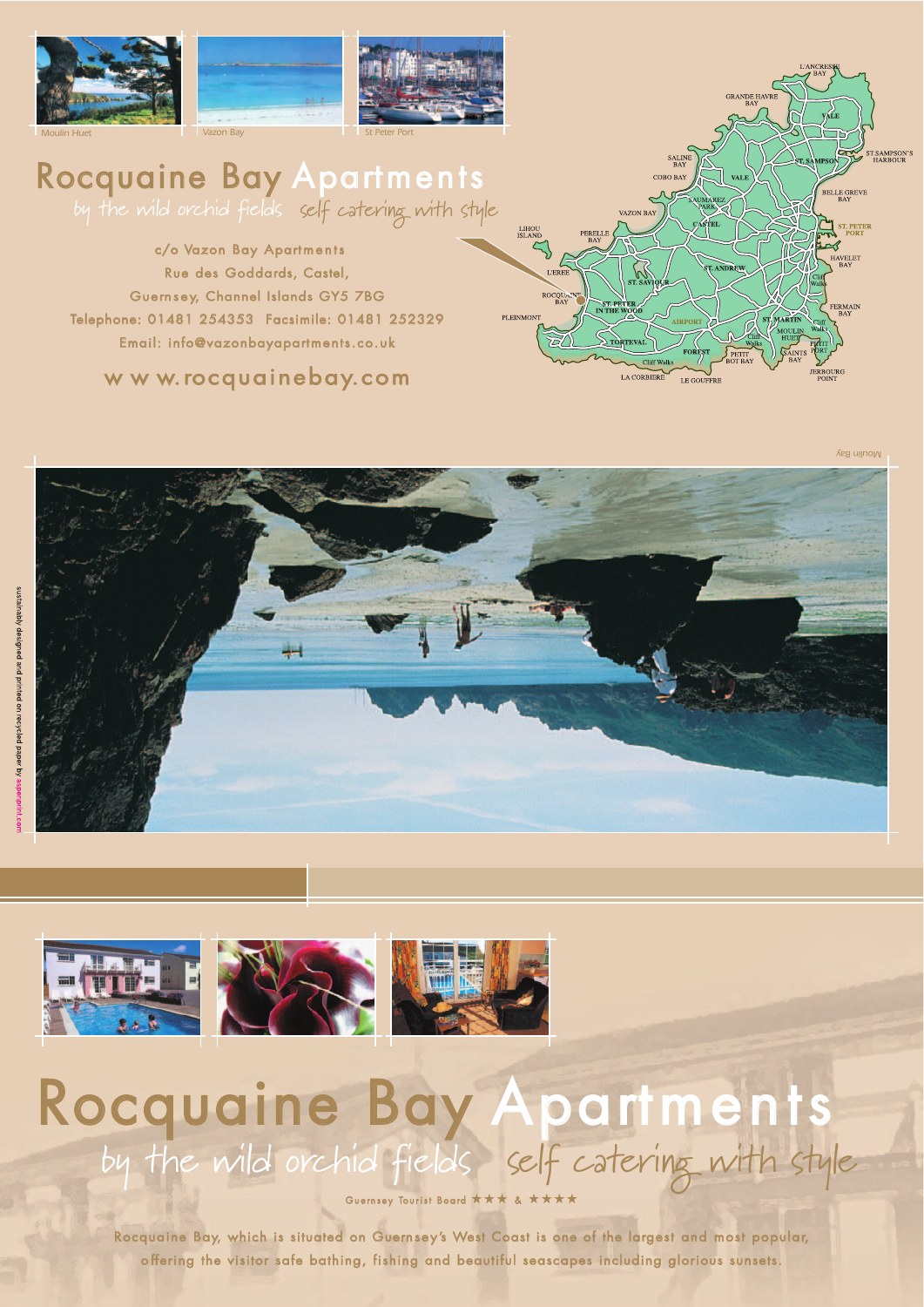

## Rocquaine Bay Apartments

by the wild orchid fields self catering with style

c/o Vazon Bay Apartments Rue des Goddards, Castel, Guernsey, Channel Islands GY5 7BG Telephone: 01481 254353 Facsimile: 01481 252329 Email: info@vazonbayapartments.co.uk

w w w.rocquainebay.com



*Moulin Bay*





## Rocquaine Bay Apartments by the wild orchid fields self catering with style

Guernsey Tourist Board ★★★

Rocquaine Bay, which is situated on Guernsey's West Coast is one of the largest and most popular, o ffering the visitor safe bathing, fishing and beautiful seascapes including glorious sunsets.